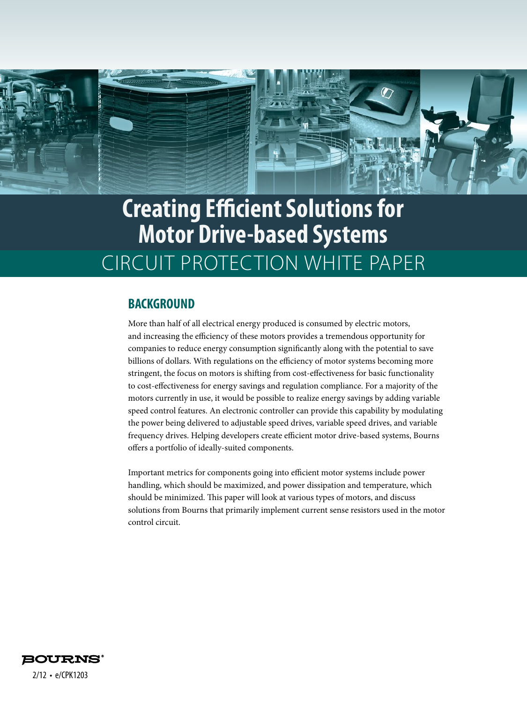

# **Creating Efficient Solutions for Motor Drive-based Systems** CIRCUIT PROTECTION WHITE PAPER

#### **BACKGROUND**

More than half of all electrical energy produced is consumed by electric motors, and increasing the efficiency of these motors provides a tremendous opportunity for companies to reduce energy consumption significantly along with the potential to save billions of dollars. With regulations on the efficiency of motor systems becoming more stringent, the focus on motors is shifting from cost-effectiveness for basic functionality to cost-effectiveness for energy savings and regulation compliance. For a majority of the motors currently in use, it would be possible to realize energy savings by adding variable speed control features. An electronic controller can provide this capability by modulating the power being delivered to adjustable speed drives, variable speed drives, and variable frequency drives. Helping developers create efficient motor drive-based systems, Bourns offers a portfolio of ideally-suited components.

Important metrics for components going into efficient motor systems include power handling, which should be maximized, and power dissipation and temperature, which should be minimized. This paper will look at various types of motors, and discuss solutions from Bourns that primarily implement current sense resistors used in the motor control circuit.

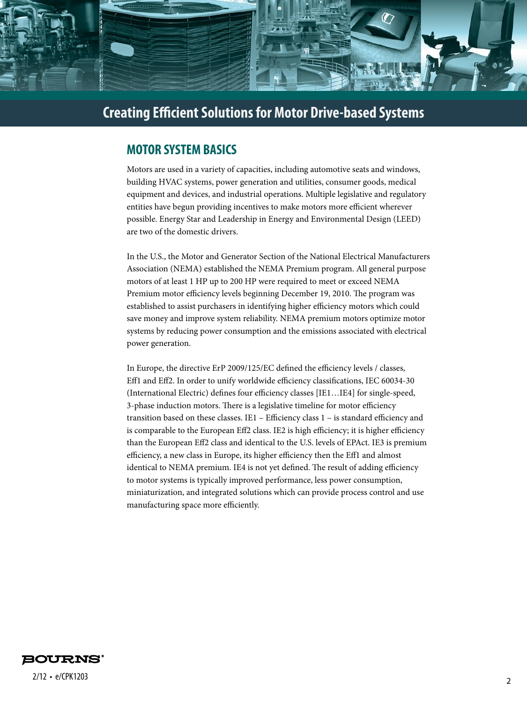

#### **MOTOR SYSTEM BASICS**

Motors are used in a variety of capacities, including automotive seats and windows, building HVAC systems, power generation and utilities, consumer goods, medical equipment and devices, and industrial operations. Multiple legislative and regulatory entities have begun providing incentives to make motors more efficient wherever possible. Energy Star and Leadership in Energy and Environmental Design (LEED) are two of the domestic drivers.

In the U.S., the Motor and Generator Section of the National Electrical Manufacturers Association (NEMA) established the NEMA Premium program. All general purpose motors of at least 1 HP up to 200 HP were required to meet or exceed NEMA Premium motor efficiency levels beginning December 19, 2010. The program was established to assist purchasers in identifying higher efficiency motors which could save money and improve system reliability. NEMA premium motors optimize motor systems by reducing power consumption and the emissions associated with electrical power generation.

In Europe, the directive ErP 2009/125/EC defined the efficiency levels / classes, Eff1 and Eff2. In order to unify worldwide efficiency classifications, IEC 60034-30 (International Electric) defines four efficiency classes [IE1…IE4] for single-speed, 3-phase induction motors. There is a legislative timeline for motor efficiency transition based on these classes. IE1 – Efficiency class 1 – is standard efficiency and is comparable to the European Eff2 class. IE2 is high efficiency; it is higher efficiency than the European Eff2 class and identical to the U.S. levels of EPAct. IE3 is premium efficiency, a new class in Europe, its higher efficiency then the Eff1 and almost identical to NEMA premium. IE4 is not yet defined. The result of adding efficiency to motor systems is typically improved performance, less power consumption, miniaturization, and integrated solutions which can provide process control and use manufacturing space more efficiently.

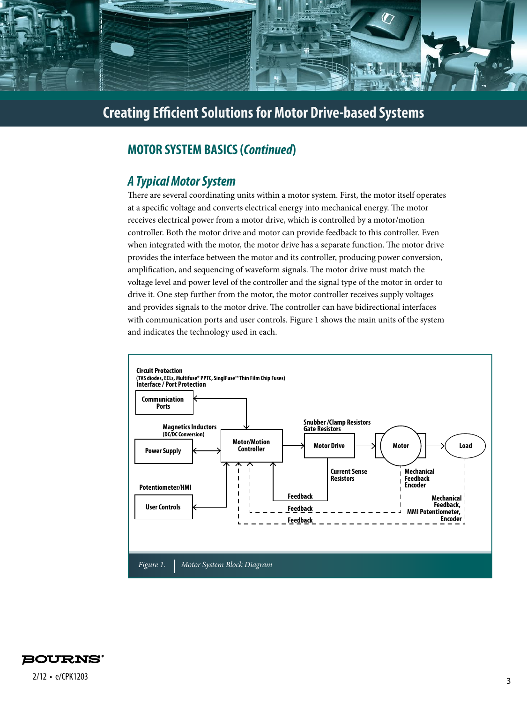

## **MOTOR SYSTEM BASICS (***Continued***)**

## *A Typical Motor System*

There are several coordinating units within a motor system. First, the motor itself operates at a specific voltage and converts electrical energy into mechanical energy. The motor receives electrical power from a motor drive, which is controlled by a motor/motion controller. Both the motor drive and motor can provide feedback to this controller. Even when integrated with the motor, the motor drive has a separate function. The motor drive provides the interface between the motor and its controller, producing power conversion, amplification, and sequencing of waveform signals. The motor drive must match the voltage level and power level of the controller and the signal type of the motor in order to drive it. One step further from the motor, the motor controller receives supply voltages and provides signals to the motor drive. The controller can have bidirectional interfaces with communication ports and user controls. Figure 1 shows the main units of the system and indicates the technology used in each.



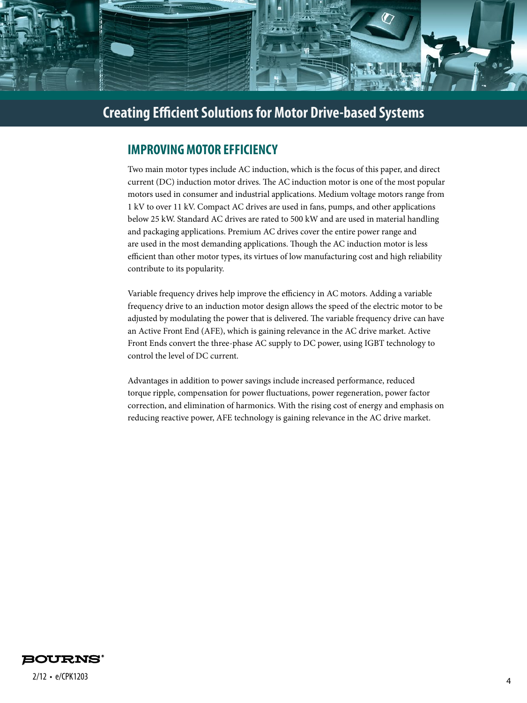

## **IMPROVING MOTOR EFFICIENCY**

Two main motor types include AC induction, which is the focus of this paper, and direct current (DC) induction motor drives. The AC induction motor is one of the most popular motors used in consumer and industrial applications. Medium voltage motors range from 1 kV to over 11 kV. Compact AC drives are used in fans, pumps, and other applications below 25 kW. Standard AC drives are rated to 500 kW and are used in material handling and packaging applications. Premium AC drives cover the entire power range and are used in the most demanding applications. Though the AC induction motor is less efficient than other motor types, its virtues of low manufacturing cost and high reliability contribute to its popularity.

Variable frequency drives help improve the efficiency in AC motors. Adding a variable frequency drive to an induction motor design allows the speed of the electric motor to be adjusted by modulating the power that is delivered. The variable frequency drive can have an Active Front End (AFE), which is gaining relevance in the AC drive market. Active Front Ends convert the three-phase AC supply to DC power, using IGBT technology to control the level of DC current.

Advantages in addition to power savings include increased performance, reduced torque ripple, compensation for power fluctuations, power regeneration, power factor correction, and elimination of harmonics. With the rising cost of energy and emphasis on reducing reactive power, AFE technology is gaining relevance in the AC drive market.



<sup>4</sup> 2/12 • e/CPK1203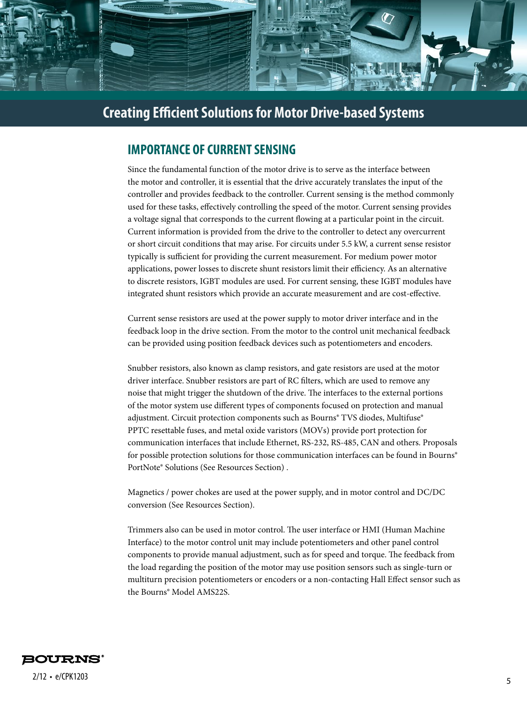

### **IMPORTANCE OF CURRENT SENSING**

Since the fundamental function of the motor drive is to serve as the interface between the motor and controller, it is essential that the drive accurately translates the input of the controller and provides feedback to the controller. Current sensing is the method commonly used for these tasks, effectively controlling the speed of the motor. Current sensing provides a voltage signal that corresponds to the current flowing at a particular point in the circuit. Current information is provided from the drive to the controller to detect any overcurrent or short circuit conditions that may arise. For circuits under 5.5 kW, a current sense resistor typically is sufficient for providing the current measurement. For medium power motor applications, power losses to discrete shunt resistors limit their efficiency. As an alternative to discrete resistors, IGBT modules are used. For current sensing, these IGBT modules have integrated shunt resistors which provide an accurate measurement and are cost-effective.

Current sense resistors are used at the power supply to motor driver interface and in the feedback loop in the drive section. From the motor to the control unit mechanical feedback can be provided using position feedback devices such as potentiometers and encoders.

Snubber resistors, also known as clamp resistors, and gate resistors are used at the motor driver interface. Snubber resistors are part of RC filters, which are used to remove any noise that might trigger the shutdown of the drive. The interfaces to the external portions of the motor system use different types of components focused on protection and manual adjustment. Circuit protection components such as Bourns® TVS diodes, Multifuse® PPTC resettable fuses, and metal oxide varistors (MOVs) provide port protection for communication interfaces that include Ethernet, RS-232, RS-485, CAN and others. Proposals for possible protection solutions for those communication interfaces can be found in Bourns® PortNote® Solutions (See Resources Section) .

Magnetics / power chokes are used at the power supply, and in motor control and DC/DC conversion (See Resources Section).

Trimmers also can be used in motor control. The user interface or HMI (Human Machine Interface) to the motor control unit may include potentiometers and other panel control components to provide manual adjustment, such as for speed and torque. The feedback from the load regarding the position of the motor may use position sensors such as single-turn or multiturn precision potentiometers or encoders or a non-contacting Hall Effect sensor such as the Bourns® Model AMS22S.

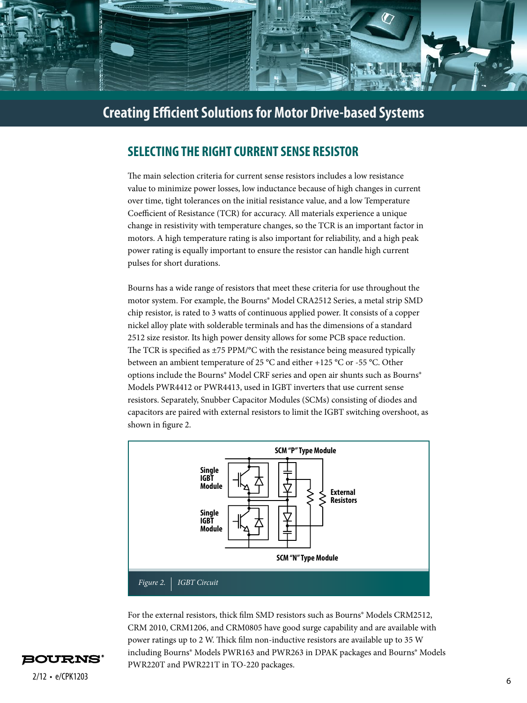

## **SELECTING THE RIGHT CURRENT SENSE RESISTOR**

The main selection criteria for current sense resistors includes a low resistance value to minimize power losses, low inductance because of high changes in current over time, tight tolerances on the initial resistance value, and a low Temperature Coefficient of Resistance (TCR) for accuracy. All materials experience a unique change in resistivity with temperature changes, so the TCR is an important factor in motors. A high temperature rating is also important for reliability, and a high peak power rating is equally important to ensure the resistor can handle high current pulses for short durations.

Bourns has a wide range of resistors that meet these criteria for use throughout the motor system. For example, the Bourns® Model CRA2512 Series, a metal strip SMD chip resistor, is rated to 3 watts of continuous applied power. It consists of a copper nickel alloy plate with solderable terminals and has the dimensions of a standard 2512 size resistor. Its high power density allows for some PCB space reduction. The TCR is specified as  $\pm$ 75 PPM/°C with the resistance being measured typically between an ambient temperature of 25 °C and either +125 °C or -55 °C. Other options include the Bourns® Model CRF series and open air shunts such as Bourns® Models PWR4412 or PWR4413, used in IGBT inverters that use current sense resistors. Separately, Snubber Capacitor Modules (SCMs) consisting of diodes and capacitors are paired with external resistors to limit the IGBT switching overshoot, as shown in figure 2.



For the external resistors, thick film SMD resistors such as Bourns<sup>®</sup> Models CRM2512, CRM 2010, CRM1206, and CRM0805 have good surge capability and are available with power ratings up to 2 W. Thick film non-inductive resistors are available up to 35 W including Bourns® Models PWR163 and PWR263 in DPAK packages and Bourns® Models PWR220T and PWR221T in TO-220 packages.

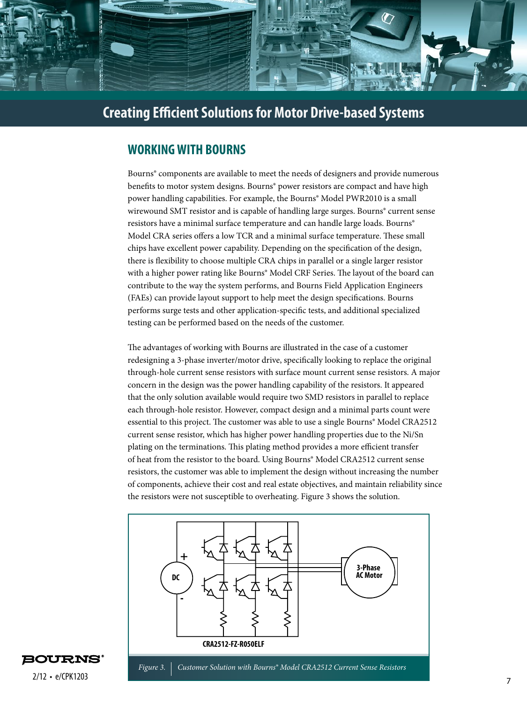

#### **WORKING WITH BOURNS**

Bourns® components are available to meet the needs of designers and provide numerous benefits to motor system designs. Bourns® power resistors are compact and have high power handling capabilities. For example, the Bourns® Model PWR2010 is a small wirewound SMT resistor and is capable of handling large surges. Bourns<sup>®</sup> current sense resistors have a minimal surface temperature and can handle large loads. Bourns® Model CRA series offers a low TCR and a minimal surface temperature. These small chips have excellent power capability. Depending on the specification of the design, there is flexibility to choose multiple CRA chips in parallel or a single larger resistor with a higher power rating like Bourns® Model CRF Series. The layout of the board can contribute to the way the system performs, and Bourns Field Application Engineers (FAEs) can provide layout support to help meet the design specifications. Bourns performs surge tests and other application-specific tests, and additional specialized testing can be performed based on the needs of the customer.

The advantages of working with Bourns are illustrated in the case of a customer redesigning a 3-phase inverter/motor drive, specifically looking to replace the original through-hole current sense resistors with surface mount current sense resistors. A major concern in the design was the power handling capability of the resistors. It appeared that the only solution available would require two SMD resistors in parallel to replace each through-hole resistor. However, compact design and a minimal parts count were essential to this project. The customer was able to use a single Bourns<sup>®</sup> Model CRA2512 current sense resistor, which has higher power handling properties due to the Ni/Sn plating on the terminations. This plating method provides a more efficient transfer of heat from the resistor to the board. Using Bourns® Model CRA2512 current sense resistors, the customer was able to implement the design without increasing the number of components, achieve their cost and real estate objectives, and maintain reliability since the resistors were not susceptible to overheating. Figure 3 shows the solution.



**BOURNS**